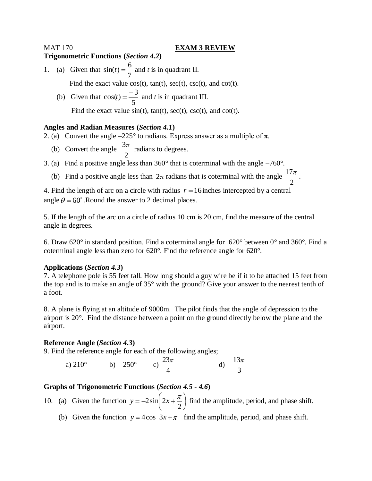#### MAT 170 **EXAM 3 REVIEW**

#### **Trigonometric Functions (***Section 4.2***)**

- 1. (a) Given that 7  $\sin(t) = \frac{6}{5}$  and *t* is in quadrant II. Find the exact value  $cos(t)$ ,  $tan(t)$ ,  $sec(t)$ ,  $csc(t)$ , and  $cot(t)$ .
	- (b) Given that 5  $cos(t) = \frac{-3}{t}$  and *t* is in quadrant III.

Find the exact value  $sin(t)$ ,  $tan(t)$ ,  $sec(t)$ ,  $csc(t)$ , and  $cot(t)$ .

# **Angles and Radian Measures (***Section 4.1***)**

2. (a) Convert the angle  $-225^{\circ}$  to radians. Express answer as a multiple of  $\pi$ .

- (b) Convert the angle 2  $\frac{3\pi}{2}$  radians to degrees.
- 3. (a) Find a positive angle less than 360° that is coterminal with the angle –760°.
- (b) Find a positive angle less than  $2\pi$  radians that is coterminal with the angle 2  $\frac{17\pi}{\pi}$ .

4. Find the length of arc on a circle with radius  $r = 16$  inches intercepted by a central angle  $\theta = 60^{\circ}$ . Round the answer to 2 decimal places.

5. If the length of the arc on a circle of radius 10 cm is 20 cm, find the measure of the central angle in degrees.

6. Draw 620° in standard position. Find a coterminal angle for 620° between 0° and 360°. Find a coterminal angle less than zero for 620°. Find the reference angle for 620°.

### **Applications (***Section 4.3***)**

7. A telephone pole is 55 feet tall. How long should a guy wire be if it to be attached 15 feet from the top and is to make an angle of 35° with the ground? Give your answer to the nearest tenth of a foot.

8. A plane is flying at an altitude of 9000m. The pilot finds that the angle of depression to the airport is 20°. Find the distance between a point on the ground directly below the plane and the airport.

### **Reference Angle (***Section 4.3***)**

9. Find the reference angle for each of the following angles;

a) 210° b) –250° c)  $\frac{23}{4}$ 4 d)  $-\frac{13}{4}$ 3

# **Graphs of Trigonometric Functions (***Section 4.5 - 4.6***)**

10. (a) Given the function 2  $y = -2\sin \left( 2x + \frac{\pi}{6} \right)$  find the amplitude, period, and phase shift.

(b) Given the function  $y = 4\cos 3x + \pi$  find the amplitude, period, and phase shift.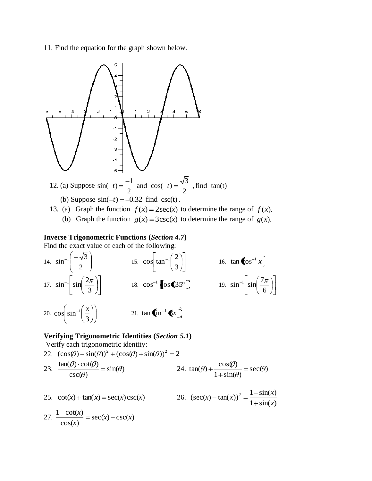11. Find the equation for the graph shown below.



#### **Inverse Trigonometric Functions (***Section 4.7***)**

Find the exact value of each of the following:

14. 
$$
\sin^{-1}\left(\frac{-\sqrt{3}}{2}\right)
$$
  
\n15.  $\cos\left[\tan^{-1}\left(\frac{2}{3}\right)\right]$   
\n16.  $\tan\left(\cos^{-1} x\right)$   
\n17.  $\sin^{-1}\left[\sin\left(\frac{2\pi}{3}\right)\right]$   
\n18.  $\cos^{-1}\left[\cos\left(35^{\circ}\right)\right]$   
\n19.  $\sin^{-1}\left[\sin\left(\frac{7\pi}{6}\right)\right]$   
\n20.  $\cos\left(\sin^{-1}\left(\frac{x}{3}\right)\right)$   
\n21.  $\tan\left(\sin^{-1}\left(\frac{x}{3}\right)\right)$ 

# **Verifying Trigonometric Identities (***Section 5.1***)**

Verify each trigonometric identity:

22. 
$$
(\cos(\theta) - \sin(\theta))^2 + (\cos(\theta) + \sin(\theta))^2 = 2
$$
  
23.  $\frac{\tan(\theta) \cdot \cot(\theta)}{\csc(\theta)} = \sin(\theta)$   
24.  $\tan(\theta) + \frac{\cos(\theta)}{1 + \sin(\theta)} = \sec(\theta)$ 

25. 
$$
\cot(x) + \tan(x) = \sec(x)\csc(x)
$$
  
\n26.  $(\sec(x) - \tan(x))^2 = \frac{1 - \sin(x)}{1 + \sin(x)}$   
\n27.  $\frac{1 - \cot(x)}{\cos(x)} = \sec(x) - \csc(x)$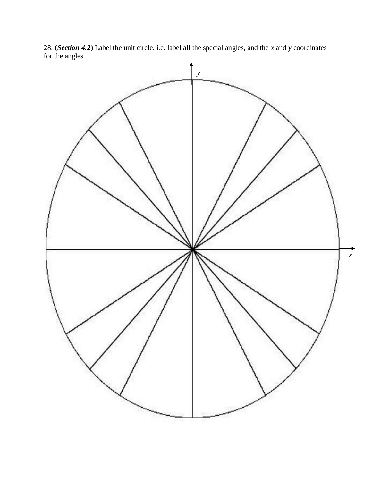28. **(***Section 4.2***)** Label the unit circle, i.e. label all the special angles, and the *x* and *y* coordinates for the angles.

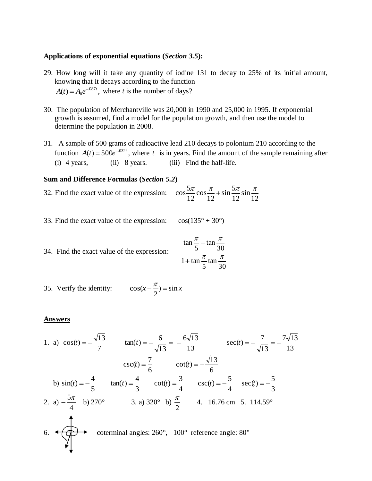### **Applications of exponential equations (***Section 3.5***):**

- 29. How long will it take any quantity of iodine 131 to decay to 25% of its initial amount, knowing that it decays according to the function  $(t) = A_0 e^{-0.087t}$ ,  $A(t) = A_0 e^{-0.087t}$ , where *t* is the number of days?
- 30. The population of Merchantville was 20,000 in 1990 and 25,000 in 1995. If exponential growth is assumed, find a model for the population growth, and then use the model to determine the population in 2008.
- 31. A sample of 500 grams of radioactive lead 210 decays to polonium 210 according to the function  $A(t) = 500e^{-0.032t}$ , where t is in years. Find the amount of the sample remaining after (i) 4 years, (ii) 8 years. (iii) Find the half-life.

#### **Sum and Difference Formulas (***Section 5.2***)**

- 32. Find the exact value of the expression: 12 sin 12  $\sin \frac{5}{2}$ 12 cos 12  $\cos \frac{5}{5}$
- 33. Find the exact value of the expression:  $\cos(135^\circ + 30^\circ)$

34. Find the exact value of the expression: 
$$
\frac{\tan \frac{\pi}{5} - \tan \frac{\pi}{30}}{1 + \tan \frac{\pi}{5} \tan \frac{\pi}{30}}
$$

35. Verify the identity:  $\cos(x - \frac{\pi}{2}) = \sin x$ 2 cos(

#### **Answers**

1. a) 7  $\cos(t) = -\frac{\sqrt{13}}{1}$ 13  $tan(t) = -\frac{6}{5}$ 13  $\frac{6\sqrt{13}}{12}$ 13  $7\sqrt{13}$ 13  $sec(t) = -\frac{7}{6}$ 6  $csc(t) = \frac{7}{5}$ 6  $\cot(t) = -\frac{\sqrt{13}}{15}$  b) 5  $\sin(t) = -\frac{4}{5}$ 3  $tan(t) = \frac{4}{5}$ 4  $\cot(t) = \frac{3}{4}$ 4  $csc(t) = -\frac{5}{4}$ 3  $sec(t) = -\frac{5}{5}$ 2. a) 4  $\frac{5\pi}{4}$  b) 270° 3. a) 320° b) 2 4. 16.76 cm 5. 114.59° 6.  $\leftarrow \leftarrow \leftarrow$  coterminal angles: 260°, –100° reference angle: 80°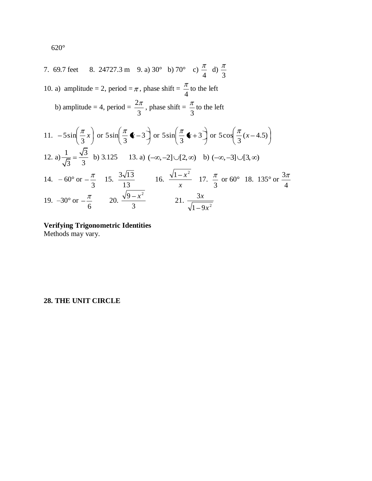7. 69.7 feet 8. 24727.3 m 9. a) 30° b) 70° c) 
$$
\frac{\pi}{4}
$$
 d)  $\frac{\pi}{3}$   
\n10. a) amplitude = 2, period =  $\pi$ , phase shift =  $\frac{\pi}{4}$  to the left  
\nb) amplitude = 4, period =  $\frac{2\pi}{3}$ , phase shift =  $\frac{\pi}{3}$  to the left  
\n11.  $-5\sin(\frac{\pi}{3}x)$  or  $5\sin(\frac{\pi}{3} \cdot (-3))$  or  $5\sin(\frac{\pi}{3} \cdot (-3))$  or  $5\cos(\frac{\pi}{3}(x-4.5))$   
\n12. a)  $\frac{1}{\sqrt{3}} = \frac{\sqrt{3}}{3}$  b) 3.125 13. a)  $(-\infty, -2] \cup [2, \infty)$  b)  $(-\infty, -3] \cup [3, \infty)$   
\n14.  $-60^{\circ}$  or  $-\frac{\pi}{3}$  15.  $\frac{3\sqrt{13}}{13}$  16.  $\frac{\sqrt{1-x^2}}{x}$  17.  $\frac{\pi}{3}$  or 60° 18. 135° or  $\frac{3\pi}{4}$   
\n19.  $-30^{\circ}$  or  $-\frac{\pi}{6}$  20.  $\frac{\sqrt{9-x^2}}{3}$  21.  $\frac{3x}{\sqrt{1-9x^2}}$ 

# **Verifying Trigonometric Identities**

Methods may vary.

# **28. THE UNIT CIRCLE**

620°